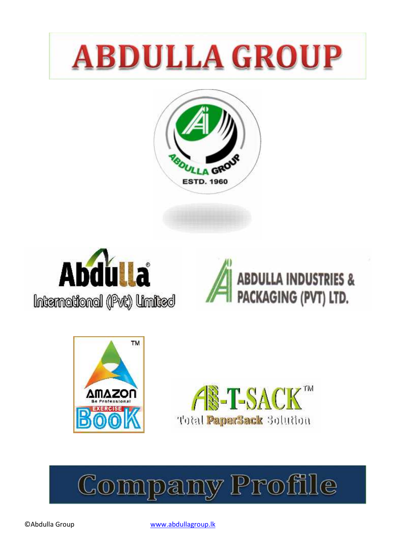# **ABDULLA GROUP**











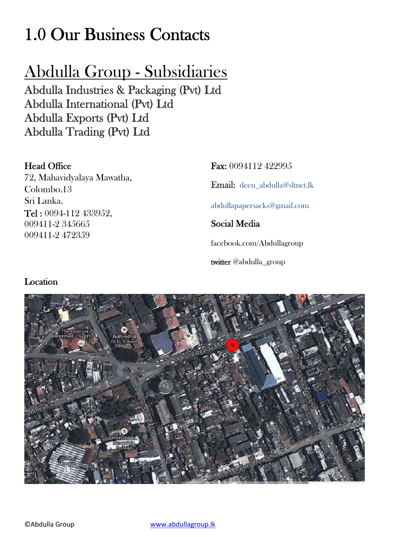# **1.0 Our Business Contacts**

# Abdulla Group - Subsidiaries

**Abdulla Industries & Packaging (Pvt) Ltd Abdulla International (Pvt) Ltd Abdulla Exports (Pvt) Ltd Abdulla Trading (Pvt) Ltd**

### **Head Office**

72, Mahavidyalaya Mawatha, Colombo.13 Sri Lanka. **Tel :** 0094-112 433952, 009411-2 345665 009411-2 472359

**Fax:** 0094112 422995 **Email:** deen\_abdulla@sltnet.lk abdullapapersacks@gmail.com **Social Media** facebook.com/Abdullagroup **twitter** @abdulla\_group

### **Location**

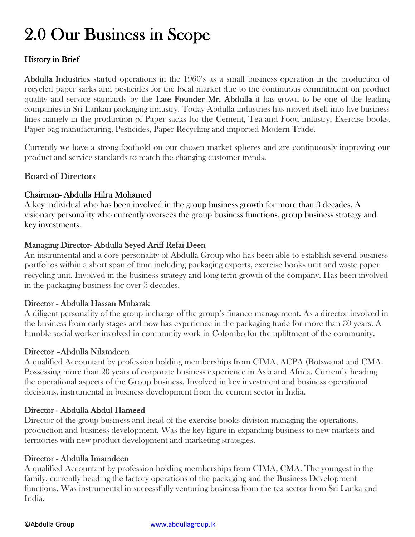# **2.0 Our Business in Scope**

### **History in Brief**

**Abdulla Industries** started operations in the 1960's as a small business operation in the production of recycled paper sacks and pesticides for the local market due to the continuous commitment on product quality and service standards by the **Late Founder Mr. Abdulla** it has grown to be one of the leading companies in Sri Lankan packaging industry. Today Abdulla industries has moved itself into five business lines namely in the production of Paper sacks for the Cement, Tea and Food industry, Exercise books, Paper bag manufacturing, Pesticides, Paper Recycling and imported Modern Trade.

Currently we have a strong foothold on our chosen market spheres and are continuously improving our product and service standards to match the changing customer trends.

### **Board of Directors**

#### **Chairman- Abdulla Hilru Mohamed**

A key individual who has been involved in the group business growth for more than 3 decades. A visionary personality who currently oversees the group business functions, group business strategy and key investments.

#### **Managing Director- Abdulla Seyed Ariff Refai Deen**

An instrumental and a core personality of Abdulla Group who has been able to establish several business portfolios within a short span of time including packaging exports, exercise books unit and waste paper recycling unit. Involved in the business strategy and long term growth of the company. Has been involved in the packaging business for over 3 decades.

#### **Director - Abdulla Hassan Mubarak**

A diligent personality of the group incharge of the group's finance management. As a director involved in the business from early stages and now has experience in the packaging trade for more than 30 years. A humble social worker involved in community work in Colombo for the upliftment of the community.

#### **Director –Abdulla Nilamdeen**

A qualified Accountant by profession holding memberships from CIMA, ACPA (Botswana) and CMA. Possessing more than 20 years of corporate business experience in Asia and Africa. Currently heading the operational aspects of the Group business. Involved in key investment and business operational decisions, instrumental in business development from the cement sector in India.

#### **Director - Abdulla Abdul Hameed**

Director of the group business and head of the exercise books division managing the operations, production and business development. Was the key figure in expanding business to new markets and territories with new product development and marketing strategies.

#### **Director - Abdulla Imamdeen**

A qualified Accountant by profession holding memberships from CIMA, CMA. The youngest in the family, currently heading the factory operations of the packaging and the Business Development functions. Was instrumental in successfully venturing business from the tea sector from Sri Lanka and India.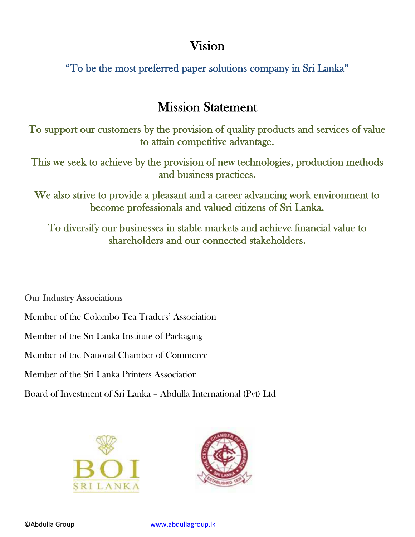# **Vision**

**"To be the most preferred paper solutions company in Sri Lanka"**

# **Mission Statement**

**To support our customers by the provision of quality products and services of value to attain competitive advantage.**

**This we seek to achieve by the provision of new technologies, production methods and business practices.**

**We also strive to provide a pleasant and a career advancing work environment to become professionals and valued citizens of Sri Lanka.**

**To diversify our businesses in stable markets and achieve financial value to shareholders and our connected stakeholders.**

### **Our Industry Associations**

Member of the Colombo Tea Traders' Association

Member of the Sri Lanka Institute of Packaging

Member of the National Chamber of Commerce

Member of the Sri Lanka Printers Association

Board of Investment of Sri Lanka – Abdulla International (Pvt) Ltd



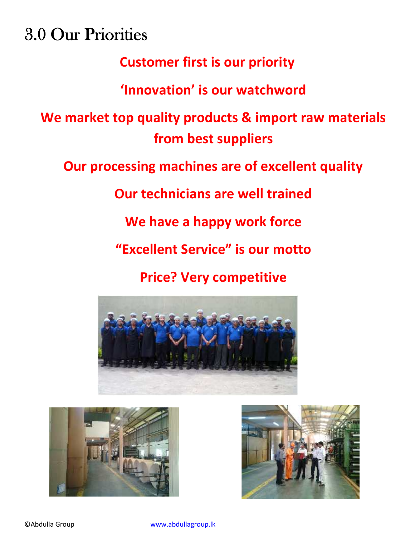**3.0 Our Priorities**

# **Customer first is our priority**

# **'Innovation' is our watchword**

**We market top quality products & import raw materials from best suppliers**

**Our processing machines are of excellent quality**

**Our technicians are well trained**

**We have a happy work force**

**"Excellent Service" is our motto**

# **Price? Very competitive**





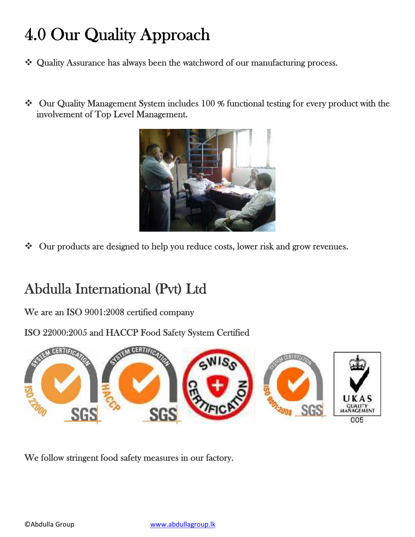# **4.0 Our Quality Approach**

- **Quality Assurance has always been the watchword of our manufacturing process.**
- **Our Quality Management System includes 100 % functional testing for every product with the involvement of Top Level Management.**



**Our products are designed to help you reduce costs, lower risk and grow revenues.**

# **Abdulla International (Pvt) Ltd**

**We are an ISO 9001:2008 certified company**

**ISO 22000:2005 and HACCP Food Safety System Certified**



**We follow stringent food safety measures in our factory.**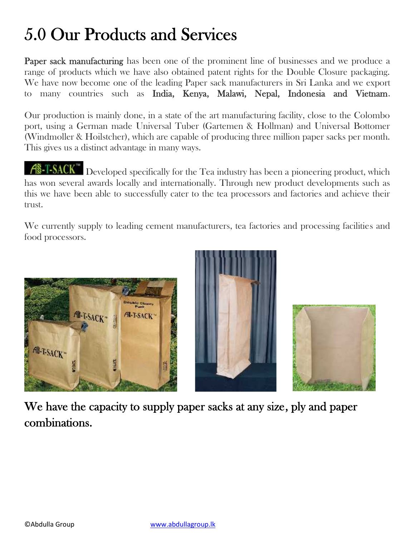# **5.0 Our Products and Services**

**Paper sack manufacturing** has been one of the prominent line of businesses and we produce a range of products which we have also obtained patent rights for the Double Closure packaging. We have now become one of the leading Paper sack manufacturers in Sri Lanka and we export to many countries such as **India, Kenya, Malawi, Nepal, Indonesia and Vietnam**.

Our production is mainly done, in a state of the art manufacturing facility, close to the Colombo port, using a German made Universal Tuber (Gartemen & Hollman) and Universal Bottomer (Windmoller & Hoilstcher), which are capable of producing three million paper sacks per month. This gives us a distinct advantage in many ways.

 $A\$ -T-SACK<sup>"</sup> Developed specifically for the Tea industry has been a pioneering product, which has won several awards locally and internationally. Through new product developments such as this we have been able to successfully cater to the tea processors and factories and achieve their trust.

We currently supply to leading cement manufacturers, tea factories and processing facilities and food processors.







**We have the capacity to supply paper sacks at any size, ply and paper combinations.**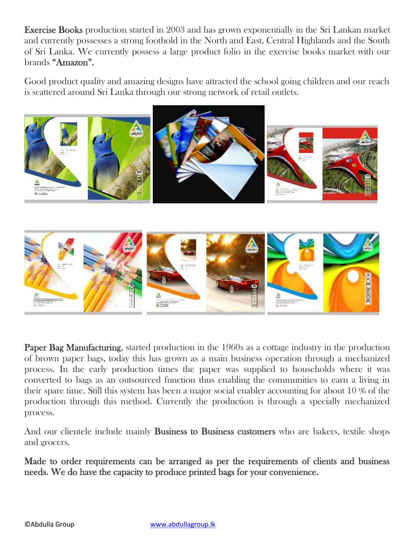**Exercise Books** production started in 2003 and has grown exponentially in the Sri Lankan market and currently possesses a strong foothold in the North and East, Central Highlands and the South of Sri Lanka. We currently possess a large product folio in the exercise books market with our brands **"Amazon".**

Good product quality and amazing designs have attracted the school going children and our reach is scattered around Sri Lanka through our strong network of retail outlets.



**Paper Bag Manufacturing**, started production in the 1960s as a cottage industry in the production of brown paper bags, today this has grown as a main business operation through a mechanized process. In the early production times the paper was supplied to households where it was converted to bags as an outsourced function thus enabling the communities to earn a living in their spare time. Still this system has been a major social enabler accounting for about 10 % of the production through this method. Currently the production is through a specially mechanized process.

And our clientele include mainly **Business to Business customers** who are bakers, textile shops and grocers.

**Made to order requirements can be arranged as per the requirements of clients and business needs. We do have the capacity to produce printed bags for your convenience.**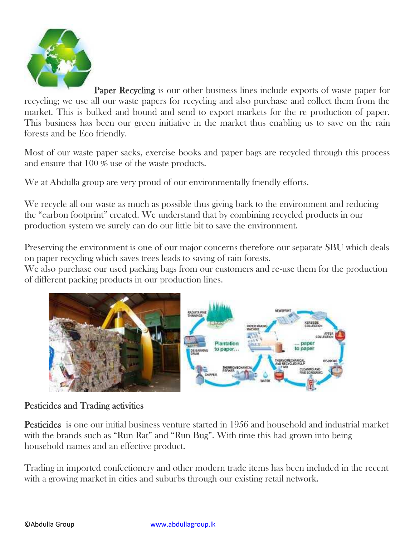

**Paper Recycling** is our other business lines include exports of waste paper for recycling; we use all our waste papers for recycling and also purchase and collect them from the market. This is bulked and bound and send to export markets for the re production of paper. This business has been our green initiative in the market thus enabling us to save on the rain forests and be Eco friendly.

Most of our waste paper sacks, exercise books and paper bags are recycled through this process and ensure that 100 % use of the waste products.

We at Abdulla group are very proud of our environmentally friendly efforts.

We recycle all our waste as much as possible thus giving back to the environment and reducing the "carbon footprint" created. We understand that by combining recycled products in our production system we surely can do our little bit to save the environment.

Preserving the environment is one of our major concerns therefore our separate SBU which deals on paper recycling which saves trees leads to saving of rain forests.

We also purchase our used packing bags from our customers and re-use them for the production of different packing products in our production lines.



### **Pesticides and Trading activities**

**Pesticides** is one our initial business venture started in 1956 and household and industrial market with the brands such as "Run Rat" and "Run Bug". With time this had grown into being household names and an effective product.

Trading in imported confectionery and other modern trade items has been included in the recent with a growing market in cities and suburbs through our existing retail network.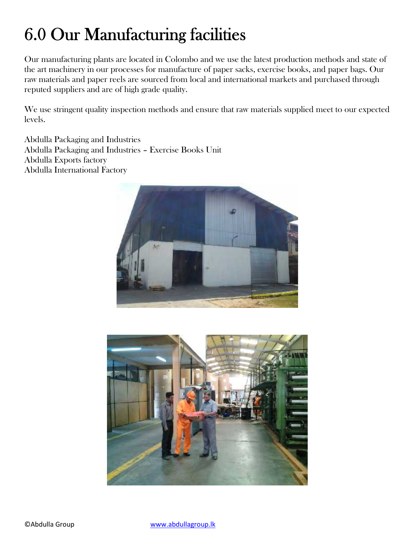# **6.0 Our Manufacturing facilities**

Our manufacturing plants are located in Colombo and we use the latest production methods and state of the art machinery in our processes for manufacture of paper sacks, exercise books, and paper bags. Our raw materials and paper reels are sourced from local and international markets and purchased through reputed suppliers and are of high grade quality.

We use stringent quality inspection methods and ensure that raw materials supplied meet to our expected levels.

Abdulla Packaging and Industries Abdulla Packaging and Industries – Exercise Books Unit Abdulla Exports factory Abdulla International Factory



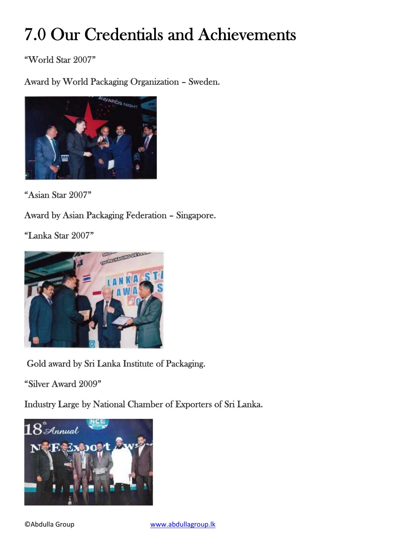# **7.0 Our Credentials and Achievements**

**"World Star 2007"**

**Award by World Packaging Organization – Sweden.**



**"Asian Star 2007"**

**Award by Asian Packaging Federation – Singapore.**

**"Lanka Star 2007"**



**Gold award by Sri Lanka Institute of Packaging.**

**"Silver Award 2009"**

**Industry Large by National Chamber of Exporters of Sri Lanka.**